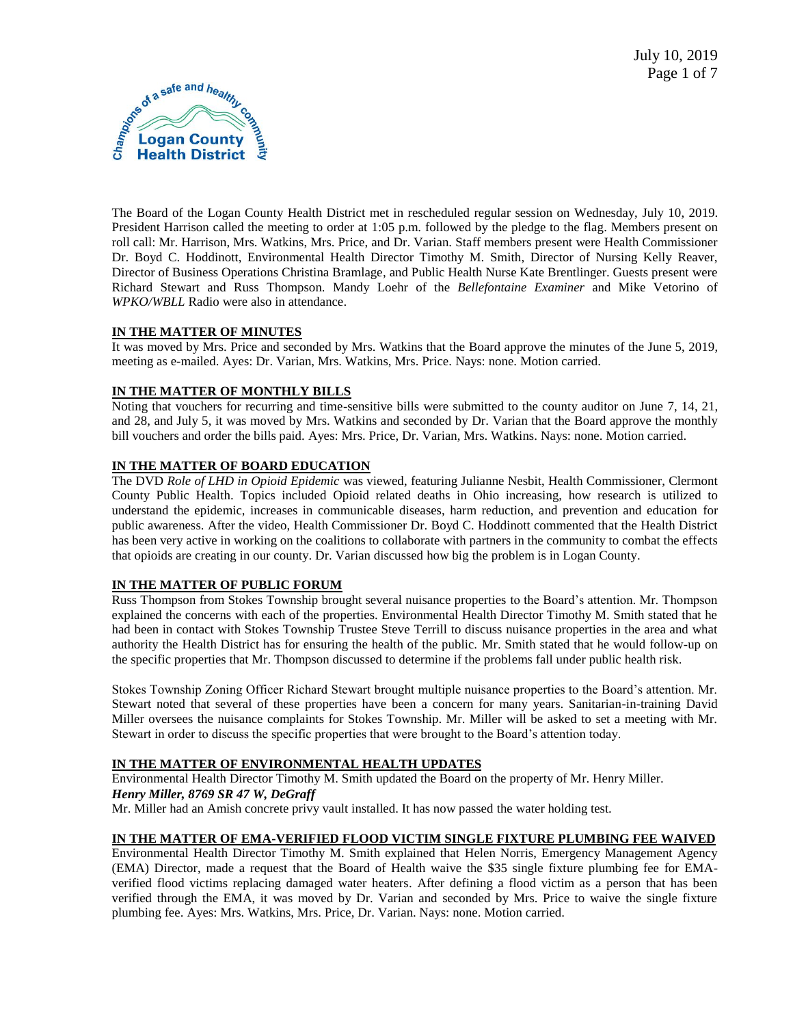

The Board of the Logan County Health District met in rescheduled regular session on Wednesday, July 10, 2019. President Harrison called the meeting to order at 1:05 p.m. followed by the pledge to the flag. Members present on roll call: Mr. Harrison, Mrs. Watkins, Mrs. Price, and Dr. Varian. Staff members present were Health Commissioner Dr. Boyd C. Hoddinott, Environmental Health Director Timothy M. Smith, Director of Nursing Kelly Reaver, Director of Business Operations Christina Bramlage, and Public Health Nurse Kate Brentlinger. Guests present were Richard Stewart and Russ Thompson. Mandy Loehr of the *Bellefontaine Examiner* and Mike Vetorino of *WPKO/WBLL* Radio were also in attendance.

## **IN THE MATTER OF MINUTES**

It was moved by Mrs. Price and seconded by Mrs. Watkins that the Board approve the minutes of the June 5, 2019, meeting as e-mailed. Ayes: Dr. Varian, Mrs. Watkins, Mrs. Price. Nays: none. Motion carried.

## **IN THE MATTER OF MONTHLY BILLS**

Noting that vouchers for recurring and time-sensitive bills were submitted to the county auditor on June 7, 14, 21, and 28, and July 5, it was moved by Mrs. Watkins and seconded by Dr. Varian that the Board approve the monthly bill vouchers and order the bills paid. Ayes: Mrs. Price, Dr. Varian, Mrs. Watkins. Nays: none. Motion carried.

# **IN THE MATTER OF BOARD EDUCATION**

The DVD *Role of LHD in Opioid Epidemic* was viewed, featuring Julianne Nesbit, Health Commissioner, Clermont County Public Health. Topics included Opioid related deaths in Ohio increasing, how research is utilized to understand the epidemic, increases in communicable diseases, harm reduction, and prevention and education for public awareness. After the video, Health Commissioner Dr. Boyd C. Hoddinott commented that the Health District has been very active in working on the coalitions to collaborate with partners in the community to combat the effects that opioids are creating in our county. Dr. Varian discussed how big the problem is in Logan County.

## **IN THE MATTER OF PUBLIC FORUM**

Russ Thompson from Stokes Township brought several nuisance properties to the Board's attention. Mr. Thompson explained the concerns with each of the properties. Environmental Health Director Timothy M. Smith stated that he had been in contact with Stokes Township Trustee Steve Terrill to discuss nuisance properties in the area and what authority the Health District has for ensuring the health of the public. Mr. Smith stated that he would follow-up on the specific properties that Mr. Thompson discussed to determine if the problems fall under public health risk.

Stokes Township Zoning Officer Richard Stewart brought multiple nuisance properties to the Board's attention. Mr. Stewart noted that several of these properties have been a concern for many years. Sanitarian-in-training David Miller oversees the nuisance complaints for Stokes Township. Mr. Miller will be asked to set a meeting with Mr. Stewart in order to discuss the specific properties that were brought to the Board's attention today.

## **IN THE MATTER OF ENVIRONMENTAL HEALTH UPDATES**

Environmental Health Director Timothy M. Smith updated the Board on the property of Mr. Henry Miller. *Henry Miller, 8769 SR 47 W, DeGraff*

Mr. Miller had an Amish concrete privy vault installed. It has now passed the water holding test.

# **IN THE MATTER OF EMA-VERIFIED FLOOD VICTIM SINGLE FIXTURE PLUMBING FEE WAIVED**

Environmental Health Director Timothy M. Smith explained that Helen Norris, Emergency Management Agency (EMA) Director, made a request that the Board of Health waive the \$35 single fixture plumbing fee for EMAverified flood victims replacing damaged water heaters. After defining a flood victim as a person that has been verified through the EMA, it was moved by Dr. Varian and seconded by Mrs. Price to waive the single fixture plumbing fee. Ayes: Mrs. Watkins, Mrs. Price, Dr. Varian. Nays: none. Motion carried.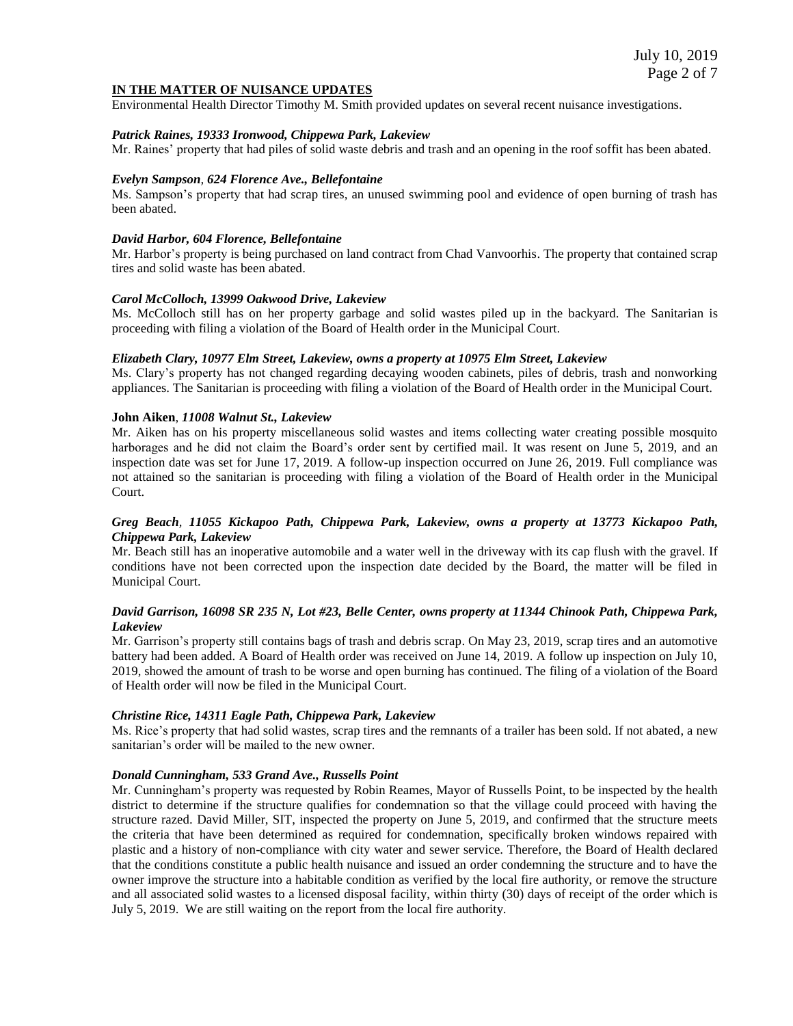### **IN THE MATTER OF NUISANCE UPDATES**

Environmental Health Director Timothy M. Smith provided updates on several recent nuisance investigations.

## *Patrick Raines, 19333 Ironwood, Chippewa Park, Lakeview*

Mr. Raines' property that had piles of solid waste debris and trash and an opening in the roof soffit has been abated.

### *Evelyn Sampson, 624 Florence Ave., Bellefontaine*

Ms. Sampson's property that had scrap tires, an unused swimming pool and evidence of open burning of trash has been abated.

### *David Harbor, 604 Florence, Bellefontaine*

Mr. Harbor's property is being purchased on land contract from Chad Vanvoorhis. The property that contained scrap tires and solid waste has been abated.

### *Carol McColloch, 13999 Oakwood Drive, Lakeview*

Ms. McColloch still has on her property garbage and solid wastes piled up in the backyard. The Sanitarian is proceeding with filing a violation of the Board of Health order in the Municipal Court.

### *Elizabeth Clary, 10977 Elm Street, Lakeview, owns a property at 10975 Elm Street, Lakeview*

Ms. Clary's property has not changed regarding decaying wooden cabinets, piles of debris, trash and nonworking appliances. The Sanitarian is proceeding with filing a violation of the Board of Health order in the Municipal Court.

### **John Aiken**, *11008 Walnut St., Lakeview*

Mr. Aiken has on his property miscellaneous solid wastes and items collecting water creating possible mosquito harborages and he did not claim the Board's order sent by certified mail. It was resent on June 5, 2019, and an inspection date was set for June 17, 2019. A follow-up inspection occurred on June 26, 2019. Full compliance was not attained so the sanitarian is proceeding with filing a violation of the Board of Health order in the Municipal Court.

### *Greg Beach, 11055 Kickapoo Path, Chippewa Park, Lakeview, owns a property at 13773 Kickapoo Path, Chippewa Park, Lakeview*

Mr. Beach still has an inoperative automobile and a water well in the driveway with its cap flush with the gravel. If conditions have not been corrected upon the inspection date decided by the Board, the matter will be filed in Municipal Court.

### *David Garrison, 16098 SR 235 N, Lot #23, Belle Center, owns property at 11344 Chinook Path, Chippewa Park, Lakeview*

Mr. Garrison's property still contains bags of trash and debris scrap. On May 23, 2019, scrap tires and an automotive battery had been added. A Board of Health order was received on June 14, 2019. A follow up inspection on July 10, 2019, showed the amount of trash to be worse and open burning has continued. The filing of a violation of the Board of Health order will now be filed in the Municipal Court.

### *Christine Rice, 14311 Eagle Path, Chippewa Park, Lakeview*

Ms. Rice's property that had solid wastes, scrap tires and the remnants of a trailer has been sold. If not abated, a new sanitarian's order will be mailed to the new owner.

### *Donald Cunningham, 533 Grand Ave., Russells Point*

Mr. Cunningham's property was requested by Robin Reames, Mayor of Russells Point, to be inspected by the health district to determine if the structure qualifies for condemnation so that the village could proceed with having the structure razed. David Miller, SIT, inspected the property on June 5, 2019, and confirmed that the structure meets the criteria that have been determined as required for condemnation, specifically broken windows repaired with plastic and a history of non-compliance with city water and sewer service. Therefore, the Board of Health declared that the conditions constitute a public health nuisance and issued an order condemning the structure and to have the owner improve the structure into a habitable condition as verified by the local fire authority, or remove the structure and all associated solid wastes to a licensed disposal facility, within thirty (30) days of receipt of the order which is July 5, 2019. We are still waiting on the report from the local fire authority.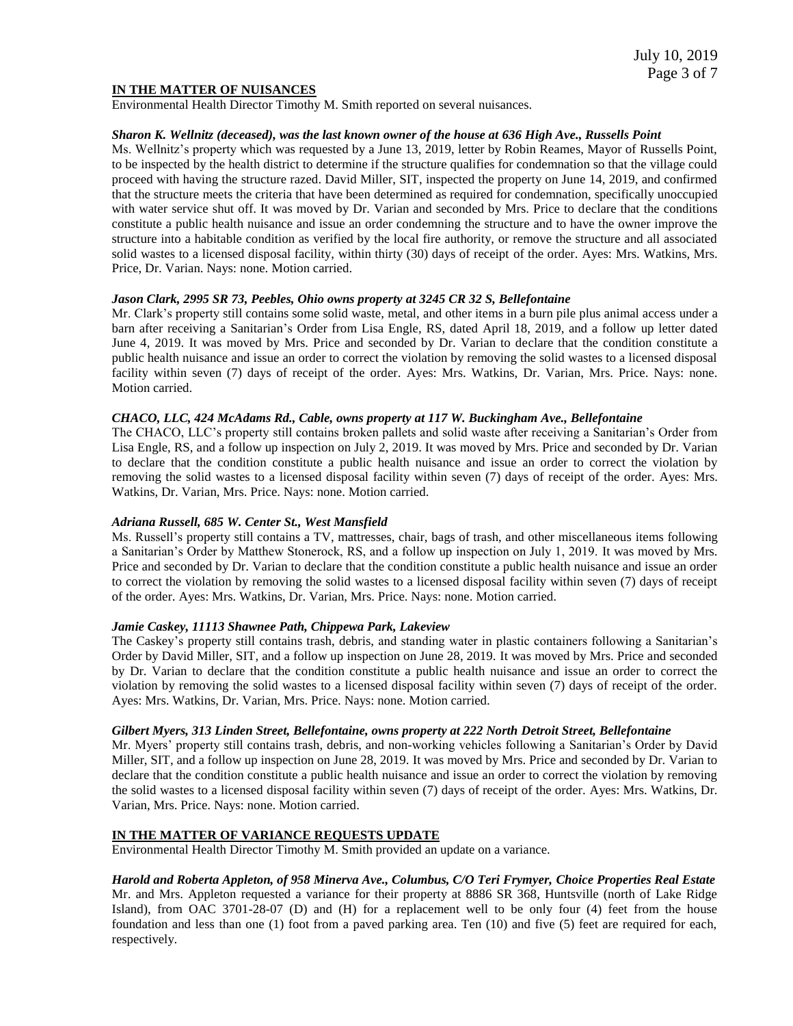## **IN THE MATTER OF NUISANCES**

Environmental Health Director Timothy M. Smith reported on several nuisances.

### *Sharon K. Wellnitz (deceased), was the last known owner of the house at 636 High Ave., Russells Point*

Ms. Wellnitz's property which was requested by a June 13, 2019, letter by Robin Reames, Mayor of Russells Point, to be inspected by the health district to determine if the structure qualifies for condemnation so that the village could proceed with having the structure razed. David Miller, SIT, inspected the property on June 14, 2019, and confirmed that the structure meets the criteria that have been determined as required for condemnation, specifically unoccupied with water service shut off. It was moved by Dr. Varian and seconded by Mrs. Price to declare that the conditions constitute a public health nuisance and issue an order condemning the structure and to have the owner improve the structure into a habitable condition as verified by the local fire authority, or remove the structure and all associated solid wastes to a licensed disposal facility, within thirty (30) days of receipt of the order. Ayes: Mrs. Watkins, Mrs. Price, Dr. Varian. Nays: none. Motion carried.

### *Jason Clark, 2995 SR 73, Peebles, Ohio owns property at 3245 CR 32 S, Bellefontaine*

Mr. Clark's property still contains some solid waste, metal, and other items in a burn pile plus animal access under a barn after receiving a Sanitarian's Order from Lisa Engle, RS, dated April 18, 2019, and a follow up letter dated June 4, 2019. It was moved by Mrs. Price and seconded by Dr. Varian to declare that the condition constitute a public health nuisance and issue an order to correct the violation by removing the solid wastes to a licensed disposal facility within seven (7) days of receipt of the order. Ayes: Mrs. Watkins, Dr. Varian, Mrs. Price. Nays: none. Motion carried.

### *CHACO, LLC, 424 McAdams Rd., Cable, owns property at 117 W. Buckingham Ave., Bellefontaine*

The CHACO, LLC's property still contains broken pallets and solid waste after receiving a Sanitarian's Order from Lisa Engle, RS, and a follow up inspection on July 2, 2019. It was moved by Mrs. Price and seconded by Dr. Varian to declare that the condition constitute a public health nuisance and issue an order to correct the violation by removing the solid wastes to a licensed disposal facility within seven (7) days of receipt of the order. Ayes: Mrs. Watkins, Dr. Varian, Mrs. Price. Nays: none. Motion carried.

### *Adriana Russell, 685 W. Center St., West Mansfield*

Ms. Russell's property still contains a TV, mattresses, chair, bags of trash, and other miscellaneous items following a Sanitarian's Order by Matthew Stonerock, RS, and a follow up inspection on July 1, 2019. It was moved by Mrs. Price and seconded by Dr. Varian to declare that the condition constitute a public health nuisance and issue an order to correct the violation by removing the solid wastes to a licensed disposal facility within seven (7) days of receipt of the order. Ayes: Mrs. Watkins, Dr. Varian, Mrs. Price. Nays: none. Motion carried.

### *Jamie Caskey, 11113 Shawnee Path, Chippewa Park, Lakeview*

The Caskey's property still contains trash, debris, and standing water in plastic containers following a Sanitarian's Order by David Miller, SIT, and a follow up inspection on June 28, 2019. It was moved by Mrs. Price and seconded by Dr. Varian to declare that the condition constitute a public health nuisance and issue an order to correct the violation by removing the solid wastes to a licensed disposal facility within seven (7) days of receipt of the order. Ayes: Mrs. Watkins, Dr. Varian, Mrs. Price. Nays: none. Motion carried.

### *Gilbert Myers, 313 Linden Street, Bellefontaine, owns property at 222 North Detroit Street, Bellefontaine*

Mr. Myers' property still contains trash, debris, and non-working vehicles following a Sanitarian's Order by David Miller, SIT, and a follow up inspection on June 28, 2019. It was moved by Mrs. Price and seconded by Dr. Varian to declare that the condition constitute a public health nuisance and issue an order to correct the violation by removing the solid wastes to a licensed disposal facility within seven (7) days of receipt of the order. Ayes: Mrs. Watkins, Dr. Varian, Mrs. Price. Nays: none. Motion carried.

## **IN THE MATTER OF VARIANCE REQUESTS UPDATE**

Environmental Health Director Timothy M. Smith provided an update on a variance.

# *Harold and Roberta Appleton, of 958 Minerva Ave., Columbus, C/O Teri Frymyer, Choice Properties Real Estate*

Mr. and Mrs. Appleton requested a variance for their property at 8886 SR 368, Huntsville (north of Lake Ridge Island), from OAC 3701-28-07 (D) and (H) for a replacement well to be only four (4) feet from the house foundation and less than one (1) foot from a paved parking area. Ten (10) and five (5) feet are required for each, respectively.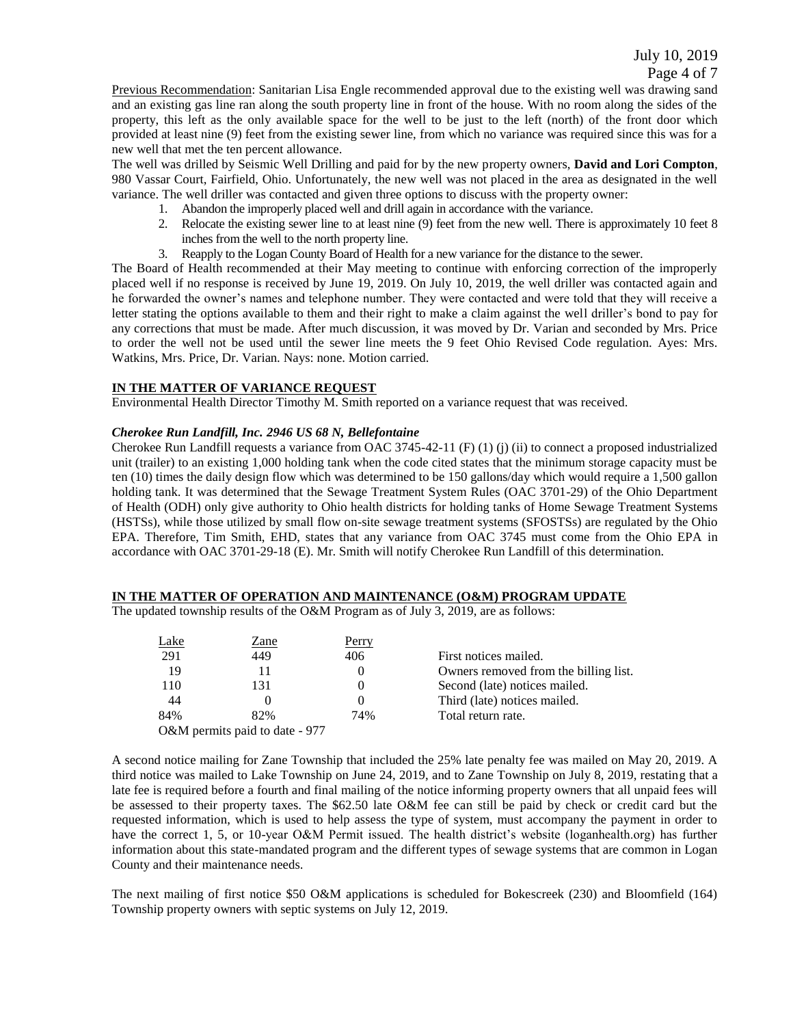Previous Recommendation: Sanitarian Lisa Engle recommended approval due to the existing well was drawing sand and an existing gas line ran along the south property line in front of the house. With no room along the sides of the property, this left as the only available space for the well to be just to the left (north) of the front door which provided at least nine (9) feet from the existing sewer line, from which no variance was required since this was for a new well that met the ten percent allowance.

The well was drilled by Seismic Well Drilling and paid for by the new property owners, **David and Lori Compton**, 980 Vassar Court, Fairfield, Ohio. Unfortunately, the new well was not placed in the area as designated in the well variance. The well driller was contacted and given three options to discuss with the property owner:

- 1. Abandon the improperly placed well and drill again in accordance with the variance.
- 2. Relocate the existing sewer line to at least nine (9) feet from the new well. There is approximately 10 feet 8 inches from the well to the north property line.
- 3. Reapply to the Logan County Board of Health for a new variance for the distance to the sewer.

The Board of Health recommended at their May meeting to continue with enforcing correction of the improperly placed well if no response is received by June 19, 2019. On July 10, 2019, the well driller was contacted again and he forwarded the owner's names and telephone number. They were contacted and were told that they will receive a letter stating the options available to them and their right to make a claim against the well driller's bond to pay for any corrections that must be made. After much discussion, it was moved by Dr. Varian and seconded by Mrs. Price to order the well not be used until the sewer line meets the 9 feet Ohio Revised Code regulation. Ayes: Mrs. Watkins, Mrs. Price, Dr. Varian. Nays: none. Motion carried.

## **IN THE MATTER OF VARIANCE REQUEST**

Environmental Health Director Timothy M. Smith reported on a variance request that was received.

# *Cherokee Run Landfill, Inc. 2946 US 68 N, Bellefontaine*

Cherokee Run Landfill requests a variance from OAC 3745-42-11 (F) (1) (j) (ii) to connect a proposed industrialized unit (trailer) to an existing 1,000 holding tank when the code cited states that the minimum storage capacity must be ten (10) times the daily design flow which was determined to be 150 gallons/day which would require a 1,500 gallon holding tank. It was determined that the Sewage Treatment System Rules (OAC 3701-29) of the Ohio Department of Health (ODH) only give authority to Ohio health districts for holding tanks of Home Sewage Treatment Systems (HSTSs), while those utilized by small flow on-site sewage treatment systems (SFOSTSs) are regulated by the Ohio EPA. Therefore, Tim Smith, EHD, states that any variance from OAC 3745 must come from the Ohio EPA in accordance with OAC 3701-29-18 (E). Mr. Smith will notify Cherokee Run Landfill of this determination.

## **IN THE MATTER OF OPERATION AND MAINTENANCE (O&M) PROGRAM UPDATE**

The updated township results of the O&M Program as of July 3, 2019, are as follows:

| Lake | Zane                           | Perry |                                       |
|------|--------------------------------|-------|---------------------------------------|
| 291  | 449                            | 406   | First notices mailed.                 |
| 19   |                                |       | Owners removed from the billing list. |
| 110  | 131                            |       | Second (late) notices mailed.         |
| 44   |                                |       | Third (late) notices mailed.          |
| 84%  | 82%                            | 74%   | Total return rate.                    |
|      | O&M permits paid to date - 977 |       |                                       |

A second notice mailing for Zane Township that included the 25% late penalty fee was mailed on May 20, 2019. A third notice was mailed to Lake Township on June 24, 2019, and to Zane Township on July 8, 2019, restating that a late fee is required before a fourth and final mailing of the notice informing property owners that all unpaid fees will be assessed to their property taxes. The \$62.50 late O&M fee can still be paid by check or credit card but the requested information, which is used to help assess the type of system, must accompany the payment in order to have the correct 1, 5, or 10-year O&M Permit issued. The health district's website (loganhealth.org) has further information about this state-mandated program and the different types of sewage systems that are common in Logan County and their maintenance needs.

The next mailing of first notice \$50 O&M applications is scheduled for Bokescreek (230) and Bloomfield (164) Township property owners with septic systems on July 12, 2019.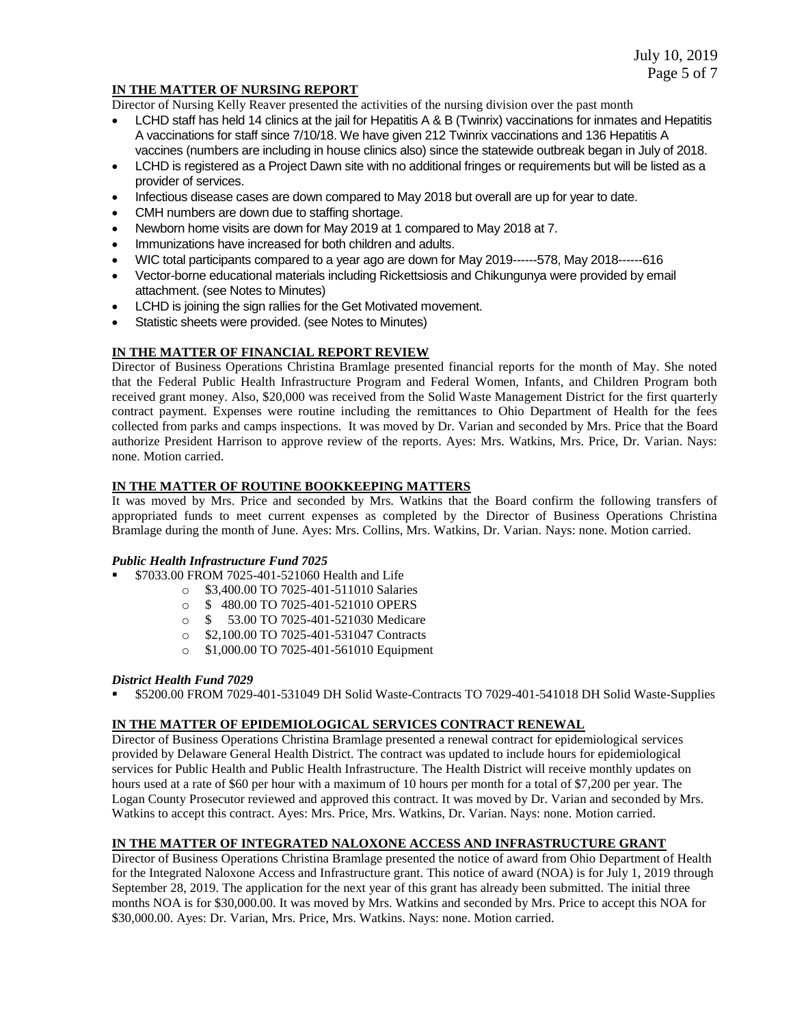# **IN THE MATTER OF NURSING REPORT**

Director of Nursing Kelly Reaver presented the activities of the nursing division over the past month

- LCHD staff has held 14 clinics at the jail for Hepatitis A & B (Twinrix) vaccinations for inmates and Hepatitis A vaccinations for staff since 7/10/18. We have given 212 Twinrix vaccinations and 136 Hepatitis A vaccines (numbers are including in house clinics also) since the statewide outbreak began in July of 2018.
- LCHD is registered as a Project Dawn site with no additional fringes or requirements but will be listed as a provider of services.
- Infectious disease cases are down compared to May 2018 but overall are up for year to date.
- CMH numbers are down due to staffing shortage.
- Newborn home visits are down for May 2019 at 1 compared to May 2018 at 7.
- Immunizations have increased for both children and adults.
- WIC total participants compared to a year ago are down for May 2019------578, May 2018------616
- Vector-borne educational materials including Rickettsiosis and Chikungunya were provided by email attachment. (see Notes to Minutes)
- LCHD is joining the sign rallies for the Get Motivated movement.
- Statistic sheets were provided. (see Notes to Minutes)

### **IN THE MATTER OF FINANCIAL REPORT REVIEW**

Director of Business Operations Christina Bramlage presented financial reports for the month of May. She noted that the Federal Public Health Infrastructure Program and Federal Women, Infants, and Children Program both received grant money. Also, \$20,000 was received from the Solid Waste Management District for the first quarterly contract payment. Expenses were routine including the remittances to Ohio Department of Health for the fees collected from parks and camps inspections. It was moved by Dr. Varian and seconded by Mrs. Price that the Board authorize President Harrison to approve review of the reports. Ayes: Mrs. Watkins, Mrs. Price, Dr. Varian. Nays: none. Motion carried.

### **IN THE MATTER OF ROUTINE BOOKKEEPING MATTERS**

It was moved by Mrs. Price and seconded by Mrs. Watkins that the Board confirm the following transfers of appropriated funds to meet current expenses as completed by the Director of Business Operations Christina Bramlage during the month of June. Ayes: Mrs. Collins, Mrs. Watkins, Dr. Varian. Nays: none. Motion carried.

### *Public Health Infrastructure Fund 7025*

- \$7033.00 FROM 7025-401-521060 Health and Life
	- o \$3,400.00 TO 7025-401-511010 Salaries
		- o \$ 480.00 TO 7025-401-521010 OPERS
		- o \$ 53.00 TO 7025-401-521030 Medicare
		- o \$2,100.00 TO 7025-401-531047 Contracts
		- o \$1,000.00 TO 7025-401-561010 Equipment

## *District Health Fund 7029*

\$5200.00 FROM 7029-401-531049 DH Solid Waste-Contracts TO 7029-401-541018 DH Solid Waste-Supplies

### **IN THE MATTER OF EPIDEMIOLOGICAL SERVICES CONTRACT RENEWAL**

Director of Business Operations Christina Bramlage presented a renewal contract for epidemiological services provided by Delaware General Health District. The contract was updated to include hours for epidemiological services for Public Health and Public Health Infrastructure. The Health District will receive monthly updates on hours used at a rate of \$60 per hour with a maximum of 10 hours per month for a total of \$7,200 per year. The Logan County Prosecutor reviewed and approved this contract. It was moved by Dr. Varian and seconded by Mrs. Watkins to accept this contract. Ayes: Mrs. Price, Mrs. Watkins, Dr. Varian. Nays: none. Motion carried.

## **IN THE MATTER OF INTEGRATED NALOXONE ACCESS AND INFRASTRUCTURE GRANT**

Director of Business Operations Christina Bramlage presented the notice of award from Ohio Department of Health for the Integrated Naloxone Access and Infrastructure grant. This notice of award (NOA) is for July 1, 2019 through September 28, 2019. The application for the next year of this grant has already been submitted. The initial three months NOA is for \$30,000.00. It was moved by Mrs. Watkins and seconded by Mrs. Price to accept this NOA for \$30,000.00. Ayes: Dr. Varian, Mrs. Price, Mrs. Watkins. Nays: none. Motion carried.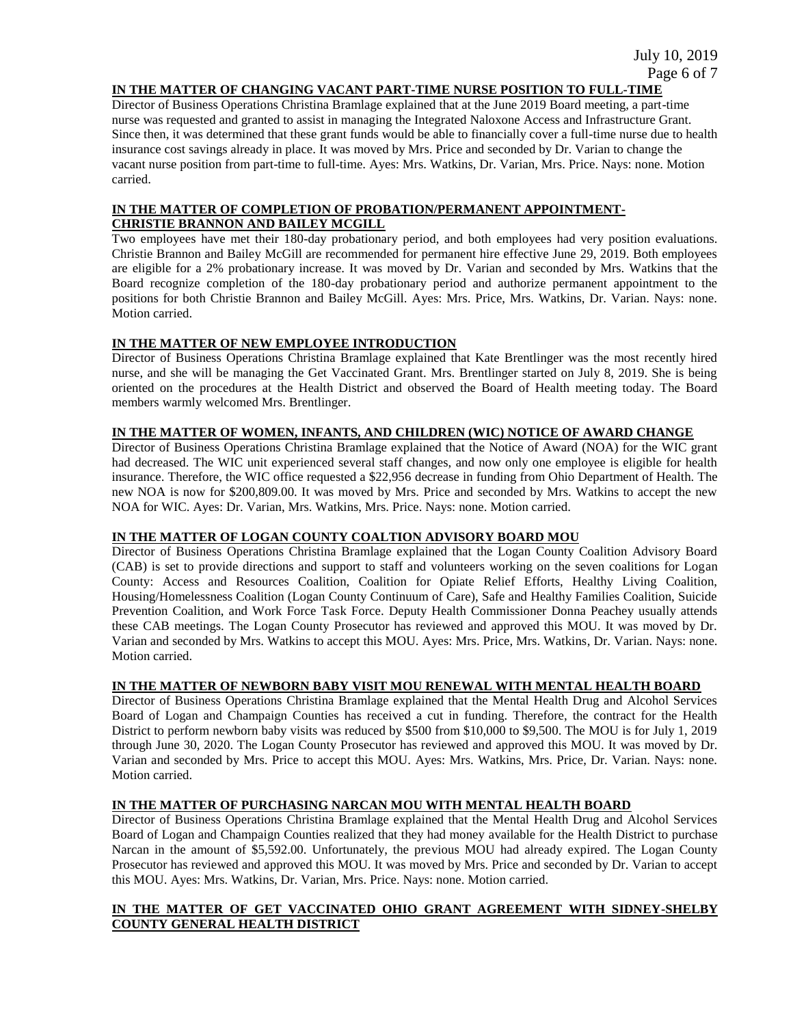# **IN THE MATTER OF CHANGING VACANT PART-TIME NURSE POSITION TO FULL-TIME**

Director of Business Operations Christina Bramlage explained that at the June 2019 Board meeting, a part-time nurse was requested and granted to assist in managing the Integrated Naloxone Access and Infrastructure Grant. Since then, it was determined that these grant funds would be able to financially cover a full-time nurse due to health insurance cost savings already in place. It was moved by Mrs. Price and seconded by Dr. Varian to change the vacant nurse position from part-time to full-time. Ayes: Mrs. Watkins, Dr. Varian, Mrs. Price. Nays: none. Motion carried.

## **IN THE MATTER OF COMPLETION OF PROBATION/PERMANENT APPOINTMENT-CHRISTIE BRANNON AND BAILEY MCGILL**

Two employees have met their 180-day probationary period, and both employees had very position evaluations. Christie Brannon and Bailey McGill are recommended for permanent hire effective June 29, 2019. Both employees are eligible for a 2% probationary increase. It was moved by Dr. Varian and seconded by Mrs. Watkins that the Board recognize completion of the 180-day probationary period and authorize permanent appointment to the positions for both Christie Brannon and Bailey McGill. Ayes: Mrs. Price, Mrs. Watkins, Dr. Varian. Nays: none. Motion carried.

# **IN THE MATTER OF NEW EMPLOYEE INTRODUCTION**

Director of Business Operations Christina Bramlage explained that Kate Brentlinger was the most recently hired nurse, and she will be managing the Get Vaccinated Grant. Mrs. Brentlinger started on July 8, 2019. She is being oriented on the procedures at the Health District and observed the Board of Health meeting today. The Board members warmly welcomed Mrs. Brentlinger.

## **IN THE MATTER OF WOMEN, INFANTS, AND CHILDREN (WIC) NOTICE OF AWARD CHANGE**

Director of Business Operations Christina Bramlage explained that the Notice of Award (NOA) for the WIC grant had decreased. The WIC unit experienced several staff changes, and now only one employee is eligible for health insurance. Therefore, the WIC office requested a \$22,956 decrease in funding from Ohio Department of Health. The new NOA is now for \$200,809.00. It was moved by Mrs. Price and seconded by Mrs. Watkins to accept the new NOA for WIC. Ayes: Dr. Varian, Mrs. Watkins, Mrs. Price. Nays: none. Motion carried.

## **IN THE MATTER OF LOGAN COUNTY COALTION ADVISORY BOARD MOU**

Director of Business Operations Christina Bramlage explained that the Logan County Coalition Advisory Board (CAB) is set to provide directions and support to staff and volunteers working on the seven coalitions for Logan County: Access and Resources Coalition, Coalition for Opiate Relief Efforts, Healthy Living Coalition, Housing/Homelessness Coalition (Logan County Continuum of Care), Safe and Healthy Families Coalition, Suicide Prevention Coalition, and Work Force Task Force. Deputy Health Commissioner Donna Peachey usually attends these CAB meetings. The Logan County Prosecutor has reviewed and approved this MOU. It was moved by Dr. Varian and seconded by Mrs. Watkins to accept this MOU. Ayes: Mrs. Price, Mrs. Watkins, Dr. Varian. Nays: none. Motion carried.

## **IN THE MATTER OF NEWBORN BABY VISIT MOU RENEWAL WITH MENTAL HEALTH BOARD**

Director of Business Operations Christina Bramlage explained that the Mental Health Drug and Alcohol Services Board of Logan and Champaign Counties has received a cut in funding. Therefore, the contract for the Health District to perform newborn baby visits was reduced by \$500 from \$10,000 to \$9,500. The MOU is for July 1, 2019 through June 30, 2020. The Logan County Prosecutor has reviewed and approved this MOU. It was moved by Dr. Varian and seconded by Mrs. Price to accept this MOU. Ayes: Mrs. Watkins, Mrs. Price, Dr. Varian. Nays: none. Motion carried.

## **IN THE MATTER OF PURCHASING NARCAN MOU WITH MENTAL HEALTH BOARD**

Director of Business Operations Christina Bramlage explained that the Mental Health Drug and Alcohol Services Board of Logan and Champaign Counties realized that they had money available for the Health District to purchase Narcan in the amount of \$5,592.00. Unfortunately, the previous MOU had already expired. The Logan County Prosecutor has reviewed and approved this MOU. It was moved by Mrs. Price and seconded by Dr. Varian to accept this MOU. Ayes: Mrs. Watkins, Dr. Varian, Mrs. Price. Nays: none. Motion carried.

## **IN THE MATTER OF GET VACCINATED OHIO GRANT AGREEMENT WITH SIDNEY-SHELBY COUNTY GENERAL HEALTH DISTRICT**